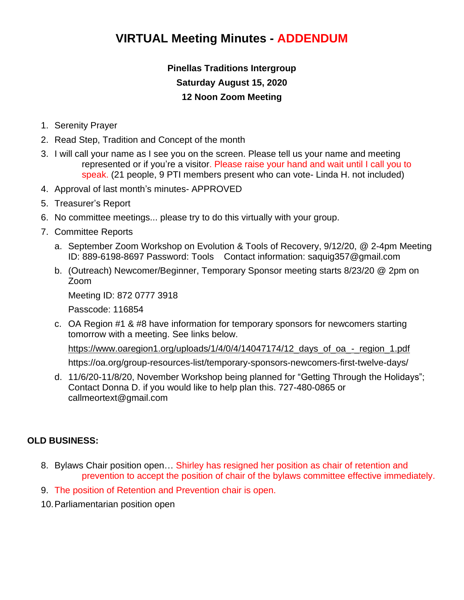# **VIRTUAL Meeting Minutes - ADDENDUM**

## **Pinellas Traditions Intergroup Saturday August 15, 2020 12 Noon Zoom Meeting**

- 1. Serenity Prayer
- 2. Read Step, Tradition and Concept of the month
- 3. I will call your name as I see you on the screen. Please tell us your name and meeting represented or if you're a visitor. Please raise your hand and wait until I call you to speak. (21 people, 9 PTI members present who can vote- Linda H. not included)
- 4. Approval of last month's minutes- APPROVED
- 5. Treasurer's Report
- 6. No committee meetings... please try to do this virtually with your group.
- 7. Committee Reports
	- a. September Zoom Workshop on Evolution & Tools of Recovery, 9/12/20, @ 2-4pm Meeting ID: 889-6198-8697 Password: Tools Contact information: saquig357@gmail.com
	- b. (Outreach) Newcomer/Beginner, Temporary Sponsor meeting starts 8/23/20 @ 2pm on Zoom

Meeting ID: 872 0777 3918

Passcode: 116854

c. OA Region #1 & #8 have information for temporary sponsors for newcomers starting tomorrow with a meeting. See links below.

https://www.oaregion1.org/uploads/1/4/0/4/14047174/12 days of oa - region 1.pdf

https://oa.org/group-resources-list/temporary-sponsors-newcomers-first-twelve-days/

d. 11/6/20-11/8/20, November Workshop being planned for "Getting Through the Holidays"; Contact Donna D. if you would like to help plan this. 727-480-0865 or callmeortext@gmail.com

#### **OLD BUSINESS:**

- 8. Bylaws Chair position open… Shirley has resigned her position as chair of retention and prevention to accept the position of chair of the bylaws committee effective immediately.
- 9. The position of Retention and Prevention chair is open.
- 10.Parliamentarian position open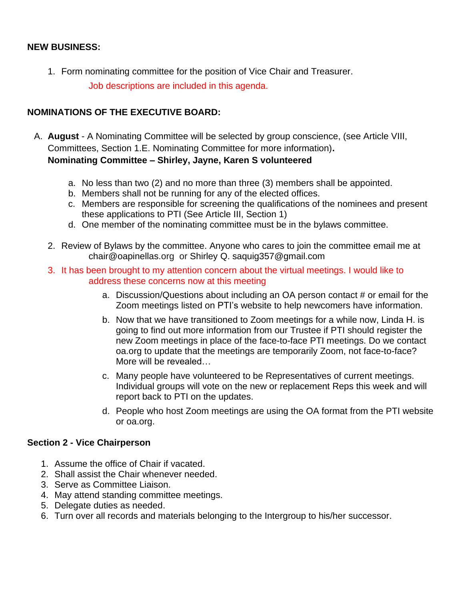### **NEW BUSINESS:**

1. Form nominating committee for the position of Vice Chair and Treasurer. Job descriptions are included in this agenda.

## **NOMINATIONS OF THE EXECUTIVE BOARD:**

- A. **August** A Nominating Committee will be selected by group conscience, (see Article VIII, Committees, Section 1.E. Nominating Committee for more information)**. Nominating Committee – Shirley, Jayne, Karen S volunteered**
	- a. No less than two (2) and no more than three (3) members shall be appointed.
	- b. Members shall not be running for any of the elected offices.
	- c. Members are responsible for screening the qualifications of the nominees and present these applications to PTI (See Article III, Section 1)
	- d. One member of the nominating committee must be in the bylaws committee.
	- 2. Review of Bylaws by the committee. Anyone who cares to join the committee email me at chair@oapinellas.org or Shirley Q. saquig357@gmail.com
	- 3. It has been brought to my attention concern about the virtual meetings. I would like to address these concerns now at this meeting
		- a. Discussion/Questions about including an OA person contact # or email for the Zoom meetings listed on PTI's website to help newcomers have information.
		- b. Now that we have transitioned to Zoom meetings for a while now, Linda H. is going to find out more information from our Trustee if PTI should register the new Zoom meetings in place of the face-to-face PTI meetings. Do we contact oa.org to update that the meetings are temporarily Zoom, not face-to-face? More will be revealed…
		- c. Many people have volunteered to be Representatives of current meetings. Individual groups will vote on the new or replacement Reps this week and will report back to PTI on the updates.
		- d. People who host Zoom meetings are using the OA format from the PTI website or oa.org.

#### **Section 2 - Vice Chairperson**

- 1. Assume the office of Chair if vacated.
- 2. Shall assist the Chair whenever needed.
- 3. Serve as Committee Liaison.
- 4. May attend standing committee meetings.
- 5. Delegate duties as needed.
- 6. Turn over all records and materials belonging to the Intergroup to his/her successor.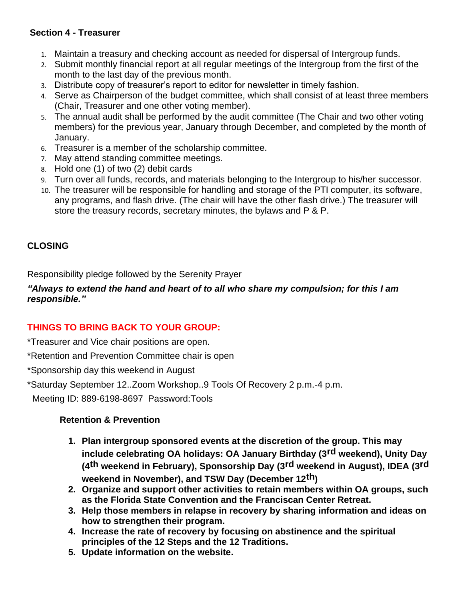## **Section 4 - Treasurer**

- 1. Maintain a treasury and checking account as needed for dispersal of Intergroup funds.
- 2. Submit monthly financial report at all regular meetings of the Intergroup from the first of the month to the last day of the previous month.
- 3. Distribute copy of treasurer's report to editor for newsletter in timely fashion.
- 4. Serve as Chairperson of the budget committee, which shall consist of at least three members (Chair, Treasurer and one other voting member).
- 5. The annual audit shall be performed by the audit committee (The Chair and two other voting members) for the previous year, January through December, and completed by the month of January.
- 6. Treasurer is a member of the scholarship committee.
- 7. May attend standing committee meetings.
- 8. Hold one (1) of two (2) debit cards
- 9. Turn over all funds, records, and materials belonging to the Intergroup to his/her successor.
- 10. The treasurer will be responsible for handling and storage of the PTI computer, its software, any programs, and flash drive. (The chair will have the other flash drive.) The treasurer will store the treasury records, secretary minutes, the bylaws and P & P.

## **CLOSING**

Responsibility pledge followed by the Serenity Prayer

#### *"Always to extend the hand and heart of to all who share my compulsion; for this I am responsible."*

## **THINGS TO BRING BACK TO YOUR GROUP:**

\*Treasurer and Vice chair positions are open.

\*Retention and Prevention Committee chair is open

\*Sponsorship day this weekend in August

\*Saturday September 12..Zoom Workshop..9 Tools Of Recovery 2 p.m.-4 p.m.

Meeting ID: 889-6198-8697 Password:Tools

#### **Retention & Prevention**

- **1. Plan intergroup sponsored events at the discretion of the group. This may include celebrating OA holidays: OA January Birthday (3rd weekend), Unity Day (4th weekend in February), Sponsorship Day (3rd weekend in August), IDEA (3rd weekend in November), and TSW Day (December 12th)**
- **2. Organize and support other activities to retain members within OA groups, such as the Florida State Convention and the Franciscan Center Retreat.**
- **3. Help those members in relapse in recovery by sharing information and ideas on how to strengthen their program.**
- **4. Increase the rate of recovery by focusing on abstinence and the spiritual principles of the 12 Steps and the 12 Traditions.**
- **5. Update information on the website.**